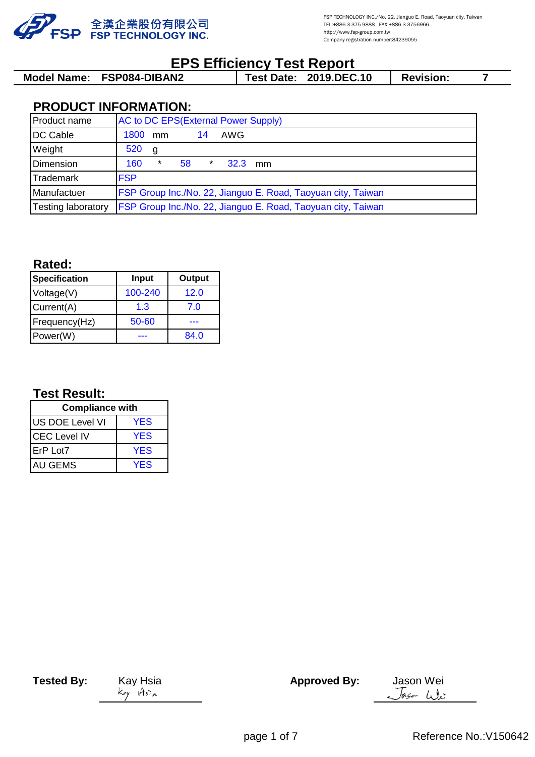

# **EPS Efficiency Test Report**

| Model Name: FSP084-DIBAN2 | <b>Test Date: 2019.DEC.10</b> |  | <b>Revision:</b> |  |
|---------------------------|-------------------------------|--|------------------|--|
|                           |                               |  |                  |  |

# **PRODUCT INFORMATION:**

| Product name              |            |   |    |         |           | AC to DC EPS(External Power Supply)                                 |
|---------------------------|------------|---|----|---------|-----------|---------------------------------------------------------------------|
| DC Cable                  | 1800 mm    |   |    | 14      | AWG       |                                                                     |
| Weight                    | 520        | g |    |         |           |                                                                     |
| Dimension                 | 160        |   | 58 | $\star$ | $32.3$ mm |                                                                     |
| <b>Trademark</b>          | <b>FSP</b> |   |    |         |           |                                                                     |
| Manufactuer               |            |   |    |         |           | FSP Group Inc./No. 22, Jianguo E. Road, Taoyuan city, Taiwan        |
| <b>Testing laboratory</b> |            |   |    |         |           | <b>FSP Group Inc./No. 22, Jianguo E. Road, Taoyuan city, Taiwan</b> |

#### **Rated:**

| <b>Specification</b> | <b>Input</b> | Output |  |
|----------------------|--------------|--------|--|
| Voltage(V)           | 100-240      | 12.0   |  |
| Current(A)           | 1.3          | 7.0    |  |
| Frequency(Hz)        | 50-60        |        |  |
| Power(W)             |              | 84.0   |  |

# **Test Result:**

| <b>Compliance with</b> |            |  |  |  |
|------------------------|------------|--|--|--|
| US DOE Level VI        | <b>YES</b> |  |  |  |
| <b>CEC Level IV</b>    | <b>YES</b> |  |  |  |
| ErP Lot7               | <b>YES</b> |  |  |  |
| AU GEMS                | <b>YFS</b> |  |  |  |

**Tested By:** Kay Hsia **Approved By:** Jason Wei Jas-We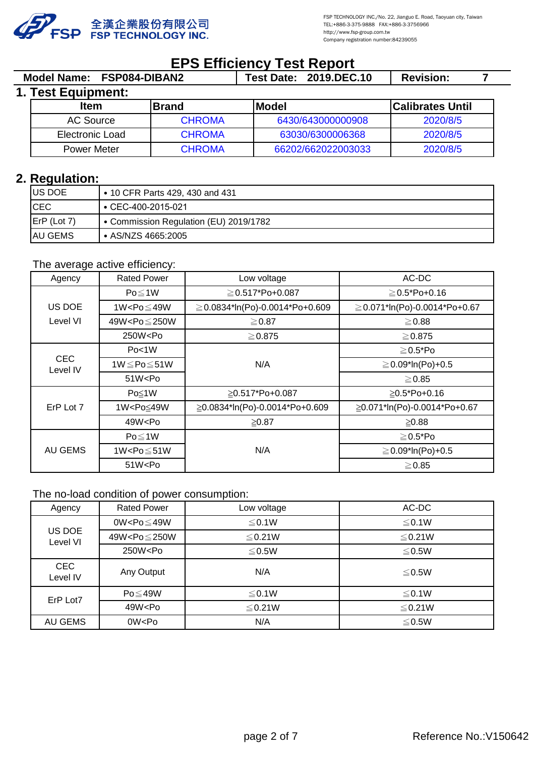

2020/8/5

# **EPS Efficiency Test Report**

|                    | Model Name: FSP084-DIBAN2 |               | <b>Test Date: 2019.DEC.10</b> | <b>Revision:</b>        |  |
|--------------------|---------------------------|---------------|-------------------------------|-------------------------|--|
| 1. Test Equipment: |                           |               |                               |                         |  |
|                    | <b>Item</b>               | <b>IBrand</b> | <b>IModel</b>                 | <b>Calibrates Until</b> |  |
|                    | AC Source                 | <b>CHROMA</b> | 6430/643000000908             | 2020/8/5                |  |
|                    | Electronic Load           | <b>CHROMA</b> | 63030/6300006368              | 2020/8/5                |  |

CHROMA 66202/662022003033

## **2. Regulation:**

| US DOE                                    | • 10 CFR Parts 429, 430 and 431        |
|-------------------------------------------|----------------------------------------|
| <b>CEC</b>                                | $\cdot$ CEC-400-2015-021               |
| $\mathsf{E}\mathsf{r} \mathsf{P}$ (Lot 7) | • Commission Regulation (EU) 2019/1782 |
| <b>AU GEMS</b>                            | • AS/NZS 4665:2005                     |

#### The average active efficiency:

Power Meter

| Agency                 | <b>Rated Power</b>                                                                                            | Low voltage                          | AC-DC                              |
|------------------------|---------------------------------------------------------------------------------------------------------------|--------------------------------------|------------------------------------|
|                        | $Po \leq 1W$                                                                                                  | $\geq$ 0.517*Po+0.087                | $\geq$ 0.5*Po+0.16                 |
| US DOE                 | 1W <po<math>\leq49W</po<math>                                                                                 | $\geq$ 0.0834*ln(Po)-0.0014*Po+0.609 | $\geq$ 0.071*ln(Po)-0.0014*Po+0.67 |
| Level VI               | 49W <po≤250w< td=""><td><math>\geq 0.87</math></td><td><math>\geq 0.88</math></td></po≤250w<>                 | $\geq 0.87$                          | $\geq 0.88$                        |
|                        | 250W <po< td=""><td><math>\geq</math> 0.875</td><td><math>\geq</math> 0.875</td></po<>                        | $\geq$ 0.875                         | $\geq$ 0.875                       |
|                        | Po<1W                                                                                                         |                                      | $\geq$ 0.5*Po                      |
| <b>CEC</b><br>Level IV | 1W $\leq$ Po $\leq$ 51W                                                                                       | N/A                                  | $\geq$ 0.09*ln(Po)+0.5             |
|                        | 51W <po< td=""><td></td><td><math>\geq</math> 0.85</td></po<>                                                 |                                      | $\geq$ 0.85                        |
|                        | Po≤1W                                                                                                         | ≥0.517*Po+0.087                      | $\geq$ 0.5*Po+0.16                 |
| ErP Lot 7              | 1W <po≤49w< td=""><td>≧0.0834*ln(Po)-0.0014*Po+0.609</td><td>≧0.071*ln(Po)-0.0014*Po+0.67</td></po≤49w<>      | ≧0.0834*ln(Po)-0.0014*Po+0.609       | ≧0.071*ln(Po)-0.0014*Po+0.67       |
|                        | 49W <po< td=""><td><math display="inline">≥0.87</math></td><td><math display="inline">≥0.88</math></td></po<> | $≥0.87$                              | $≥0.88$                            |
|                        | $Po \leq 1W$                                                                                                  |                                      | $\geq$ 0.5*Po                      |
| AU GEMS                | 1W <po<math>\leq51W</po<math>                                                                                 | N/A                                  | $\geq$ 0.09*ln(Po)+0.5             |
|                        | 51W < Po                                                                                                      |                                      | $\geq$ 0.85                        |

#### The no-load condition of power consumption:

| Agency                 | <b>Rated Power</b>                                                                              | Low voltage  | AC-DC        |
|------------------------|-------------------------------------------------------------------------------------------------|--------------|--------------|
|                        | 0W <po<math>\leq49W</po<math>                                                                   | $\leq$ 0.1W  | $\leq$ 0.1W  |
| US DOE<br>Level VI     | 49W <po≤250w< td=""><td><math>\leq</math> 0.21W</td><td><math>\leq</math> 0.21W</td></po≤250w<> | $\leq$ 0.21W | $\leq$ 0.21W |
|                        | 250W <po< td=""><td>≤0.5W</td><td>≤0.5W</td></po<>                                              | ≤0.5W        | ≤0.5W        |
| <b>CEC</b><br>Level IV | Any Output                                                                                      | N/A          | ≤0.5W        |
| ErP Lot7               | $Po \leq 49W$                                                                                   | $\leq$ 0.1W  | $\leq$ 0.1W  |
|                        | 49W <po< td=""><td><math>\leq</math> 0.21W</td><td><math>\leq</math> 0.21W</td></po<>           | $\leq$ 0.21W | $\leq$ 0.21W |
| AU GEMS                | 0W <po< td=""><td>N/A</td><td><math display="inline">≤ 0.5W</math></td></po<>                   | N/A          | $≤ 0.5W$     |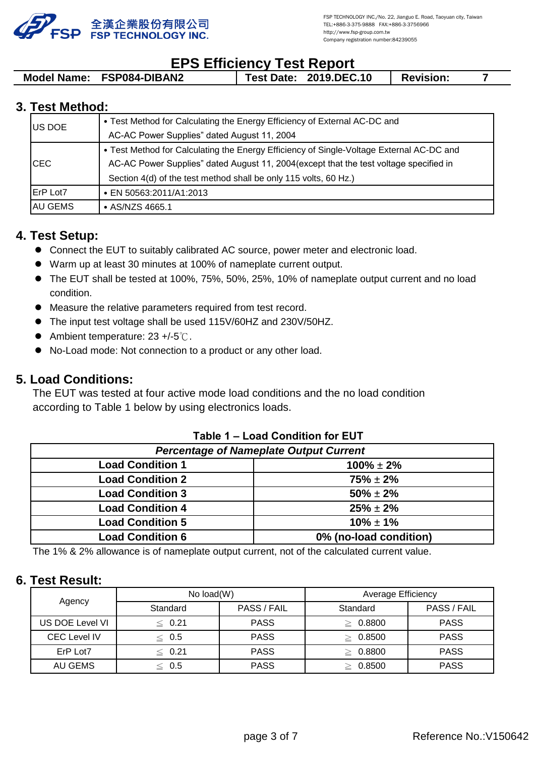

# **EPS Efficiency Test Report**

| Model Name: FSP084-DIBAN2 |  | <b>Test Date: 2019.DEC.10</b> | <b>Revision:</b> |  |
|---------------------------|--|-------------------------------|------------------|--|
|                           |  |                               |                  |  |

## **3. Test Method:**

| <b>US DOE</b>    | • Test Method for Calculating the Energy Efficiency of External AC-DC and<br>AC-AC Power Supplies" dated August 11, 2004                                                                                                                               |
|------------------|--------------------------------------------------------------------------------------------------------------------------------------------------------------------------------------------------------------------------------------------------------|
| ICEC             | • Test Method for Calculating the Energy Efficiency of Single-Voltage External AC-DC and<br>AC-AC Power Supplies" dated August 11, 2004 (except that the test voltage specified in<br>Section 4(d) of the test method shall be only 115 volts, 60 Hz.) |
| <b>IErP Lot7</b> | • EN 50563:2011/A1:2013                                                                                                                                                                                                                                |
| <b>AU GEMS</b>   | • $AS/NZS$ 4665.1                                                                                                                                                                                                                                      |

## **4. Test Setup:**

- **Connect the EUT to suitably calibrated AC source, power meter and electronic load.**
- l Warm up at least 30 minutes at 100% of nameplate current output.
- The EUT shall be tested at 100%, 75%, 50%, 25%, 10% of nameplate output current and no load condition.
- $\bullet$  Measure the relative parameters required from test record.
- The input test voltage shall be used 115V/60HZ and 230V/50HZ.
- $\bullet$  Ambient temperature: 23 +/-5℃.
- $\bullet$  No-Load mode: Not connection to a product or any other load.

## **5. Load Conditions:**

The EUT was tested at four active mode load conditions and the no load condition according to Table 1 below by using electronics loads.

| Table 1 – Load Condition for EUT              |                        |  |  |  |  |  |
|-----------------------------------------------|------------------------|--|--|--|--|--|
| <b>Percentage of Nameplate Output Current</b> |                        |  |  |  |  |  |
| <b>Load Condition 1</b>                       | $100\% \pm 2\%$        |  |  |  |  |  |
| <b>Load Condition 2</b>                       | $75\% \pm 2\%$         |  |  |  |  |  |
| <b>Load Condition 3</b>                       | $50\% \pm 2\%$         |  |  |  |  |  |
| <b>Load Condition 4</b>                       | $25\% \pm 2\%$         |  |  |  |  |  |
| <b>Load Condition 5</b>                       | $10\% \pm 1\%$         |  |  |  |  |  |
| <b>Load Condition 6</b>                       | 0% (no-load condition) |  |  |  |  |  |

#### **Table 1 – Load Condition for EUT**

The 1% & 2% allowance is of nameplate output current, not of the calculated current value.

### **6. Test Result:**

|                     | No $load(W)$ |             | <b>Average Efficiency</b> |             |  |
|---------------------|--------------|-------------|---------------------------|-------------|--|
| Agency              | Standard     | PASS / FAIL | Standard                  | PASS / FAIL |  |
| US DOE Level VI     | $\leq 0.21$  | <b>PASS</b> | 0.8800                    | <b>PASS</b> |  |
| <b>CEC Level IV</b> | $\leq 0.5$   | <b>PASS</b> | 0.8500                    | <b>PASS</b> |  |
| ErP Lot7            | $\leq 0.21$  | <b>PASS</b> | 0.8800                    | <b>PASS</b> |  |
| AU GEMS             | $\leq$ 0.5   | <b>PASS</b> | 0.8500                    | <b>PASS</b> |  |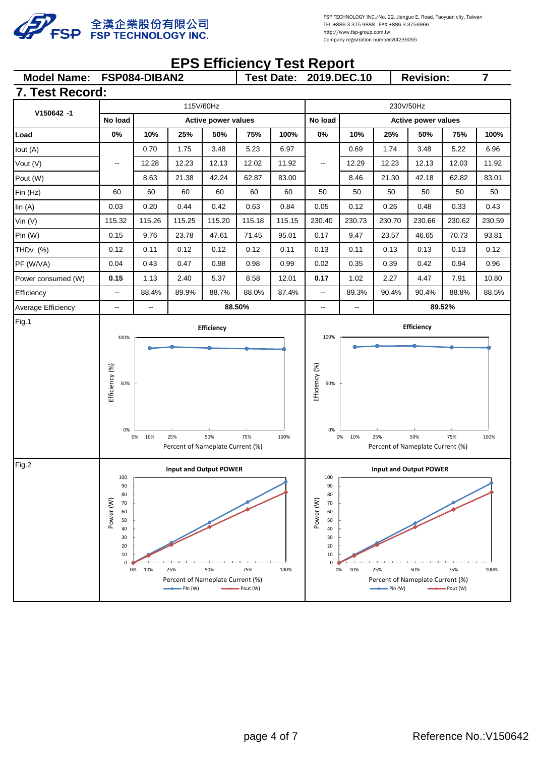

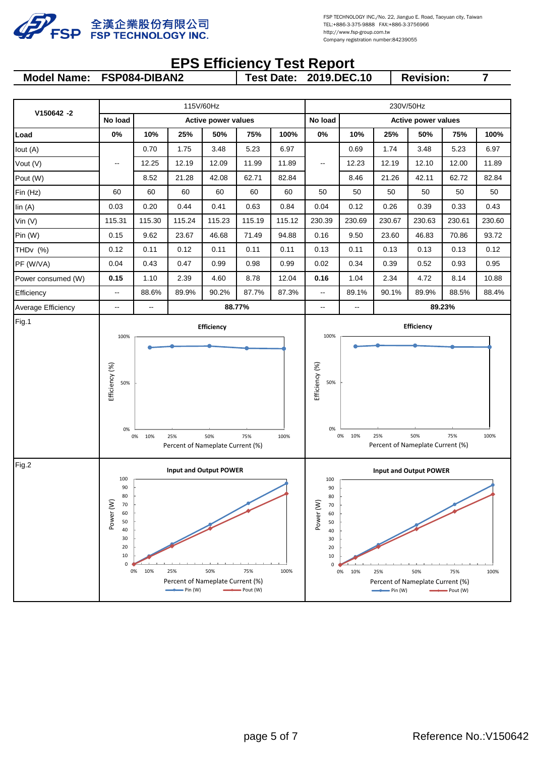

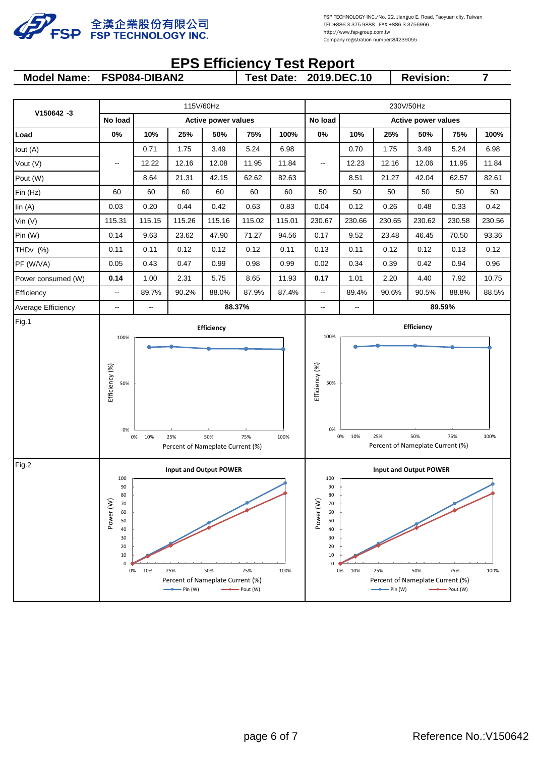